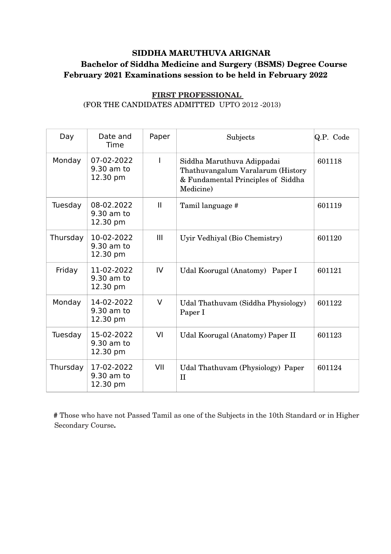## **SIDDHA MARUTHUVA ARIGNAR Bachelor of Siddha Medicine and Surgery (BSMS) Degree Course February 2021 Examinations session to be held in February 2022**

| Day      | Date and<br>Time                     | Paper        | Subjects                                                                                                           | Q.P. Code |
|----------|--------------------------------------|--------------|--------------------------------------------------------------------------------------------------------------------|-----------|
| Monday   | 07-02-2022<br>9.30 am to<br>12.30 pm | ı            | Siddha Maruthuva Adippadai<br>Thathuvangalum Varalarum (History<br>& Fundamental Principles of Siddha<br>Medicine) | 601118    |
| Tuesday  | 08-02.2022<br>9.30 am to<br>12.30 pm | $\mathbf{I}$ | Tamil language #                                                                                                   | 601119    |
| Thursday | 10-02-2022<br>9.30 am to<br>12.30 pm | III          | Uyir Vedhiyal (Bio Chemistry)                                                                                      | 601120    |
| Friday   | 11-02-2022<br>9.30 am to<br>12.30 pm | IV           | Udal Koorugal (Anatomy) Paper I                                                                                    | 601121    |
| Monday   | 14-02-2022<br>9.30 am to<br>12.30 pm | $\vee$       | Udal Thathuvam (Siddha Physiology)<br>Paper I                                                                      | 601122    |
| Tuesday  | 15-02-2022<br>9.30 am to<br>12.30 pm | VI           | Udal Koorugal (Anatomy) Paper II                                                                                   | 601123    |
| Thursday | 17-02-2022<br>9.30 am to<br>12.30 pm | VII          | Udal Thathuvam (Physiology) Paper<br>$\mathbf{I}$                                                                  | 601124    |

## **FIRST PROFESSIONAL**  (FOR THE CANDIDATES ADMITTED UPTO 2012 -2013)

 **#** Those who have not Passed Tamil as one of the Subjects in the 10th Standard or in Higher Secondary Course**.**